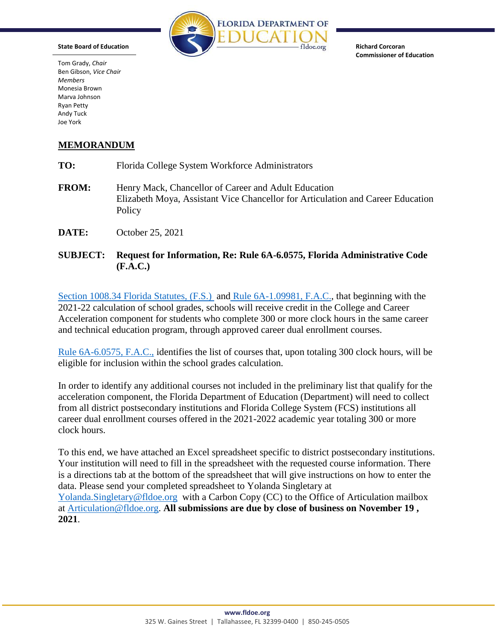

**Richard Corcoran Commissioner of Education** 

Tom Grady, *Chair*  Ben Gibson, *Vice Chair Members*  Monesia Brown Marva Johnson Ryan Petty Andy Tuck Joe York

**State Board of Education** 

## **MEMORANDUM**

| TO:          | Florida College System Workforce Administrators                                                                                                   |
|--------------|---------------------------------------------------------------------------------------------------------------------------------------------------|
| <b>FROM:</b> | Henry Mack, Chancellor of Career and Adult Education<br>Elizabeth Moya, Assistant Vice Chancellor for Articulation and Career Education<br>Policy |
| DATE:        | October 25, 2021                                                                                                                                  |

**SUBJECT: Request for Information, Re: Rule 6A-6.0575, Florida Administrative Code (F.A.C.)** 

[Section 1008.34 Florida Statutes, \(F.S.\)](http://www.leg.state.fl.us/Statutes/index.cfm?App_mode=Display_Statute&URL=1000-1099/1008/Sections/1008.34.html) an[d Rule 6A-1.09981, F.A.C.,](https://www.flrules.org/gateway/ruleNo.asp?ID=6A-1.09981) that beginning with the 2021-22 calculation of school grades, schools will receive credit in the College and Career Acceleration component for students who complete 300 or more clock hours in the same career and technical education program, through approved career dual enrollment courses.

[Rule 6A-6.0575, F.A.C.,](https://www.flrules.org/gateway/ruleNo.asp?id=6A-6.0575) identifies the list of courses that, upon totaling 300 clock hours, will be eligible for inclusion within the school grades calculation.

In order to identify any additional courses not included in the preliminary list that qualify for the acceleration component, the Florida Department of Education (Department) will need to collect from all district postsecondary institutions and Florida College System (FCS) institutions all career dual enrollment courses offered in the 2021-2022 academic year totaling 300 or more clock hours.

To this end, we have attached an Excel spreadsheet specific to district postsecondary institutions. Your institution will need to fill in the spreadsheet with the requested course information. There is a directions tab at the bottom of the spreadsheet that will give instructions on how to enter the data. Please send your completed spreadsheet to Yolanda Singletary at [Yolanda.Singletary@fldoe.org](mailto:Yolanda.Singletary@fldoe.org) with a Carbon Copy (CC) to the Office of Articulation mailbox at [Articulation@fldoe.org.](mailto:Articulation@fldoe.org) **All submissions are due by close of business on November 19 , 2021**.